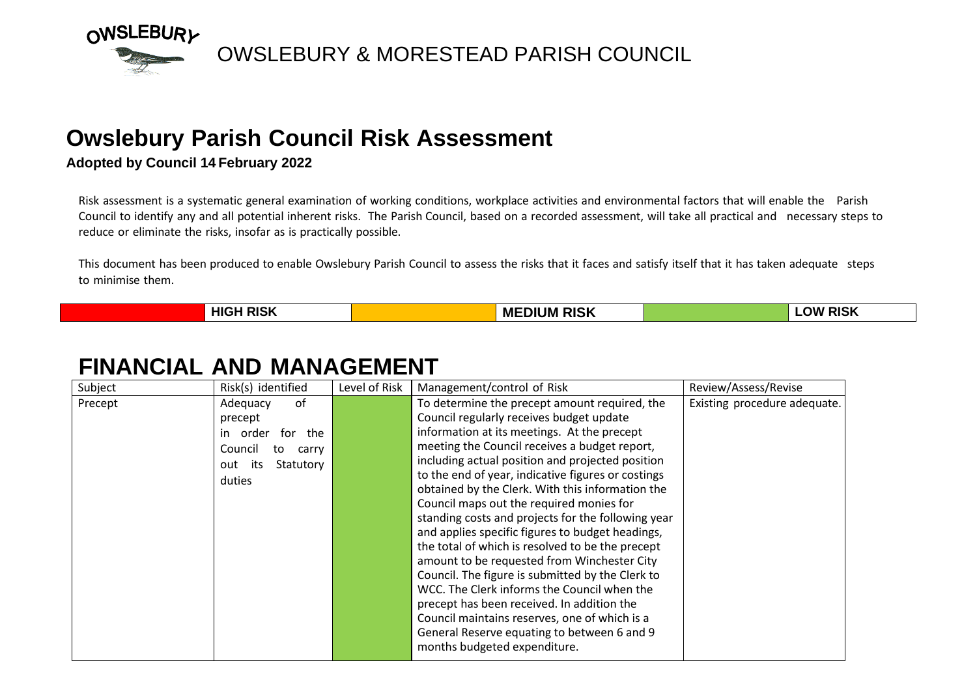

#### **Owslebury Parish Council Risk Assessment**

#### **Adopted by Council 14 February 2022**

Risk assessment is a systematic general examination of working conditions, workplace activities and environmental factors that will enable the Parish Council to identify any and all potential inherent risks. The Parish Council, based on a recorded assessment, will take all practical and necessary steps to reduce or eliminate the risks, insofar as is practically possible.

This document has been produced to enable Owslebury Parish Council to assess the risks that it faces and satisfy itself that it has taken adequate steps to minimise them.

| $\overline{u}$ die $\overline{u}$<br><b>HIG</b><br>RISM<br>_______ | <b>RISK</b><br>ME<br>JN | אוכ<br>אר<br>NDI |
|--------------------------------------------------------------------|-------------------------|------------------|

#### **FINANCIAL AND MANAGEMENT**

| Subject | Risk(s) identified      | Level of Risk | Management/control of Risk                         | Review/Assess/Revise         |
|---------|-------------------------|---------------|----------------------------------------------------|------------------------------|
| Precept | of<br>Adequacy          |               | To determine the precept amount required, the      | Existing procedure adequate. |
|         | precept                 |               | Council regularly receives budget update           |                              |
|         | order<br>for the        |               | information at its meetings. At the precept        |                              |
|         | Council<br>carry<br>to  |               | meeting the Council receives a budget report,      |                              |
|         | its<br>Statutory<br>out |               | including actual position and projected position   |                              |
|         | duties                  |               | to the end of year, indicative figures or costings |                              |
|         |                         |               | obtained by the Clerk. With this information the   |                              |
|         |                         |               | Council maps out the required monies for           |                              |
|         |                         |               | standing costs and projects for the following year |                              |
|         |                         |               | and applies specific figures to budget headings,   |                              |
|         |                         |               | the total of which is resolved to be the precept   |                              |
|         |                         |               | amount to be requested from Winchester City        |                              |
|         |                         |               | Council. The figure is submitted by the Clerk to   |                              |
|         |                         |               | WCC. The Clerk informs the Council when the        |                              |
|         |                         |               | precept has been received. In addition the         |                              |
|         |                         |               | Council maintains reserves, one of which is a      |                              |
|         |                         |               | General Reserve equating to between 6 and 9        |                              |
|         |                         |               | months budgeted expenditure.                       |                              |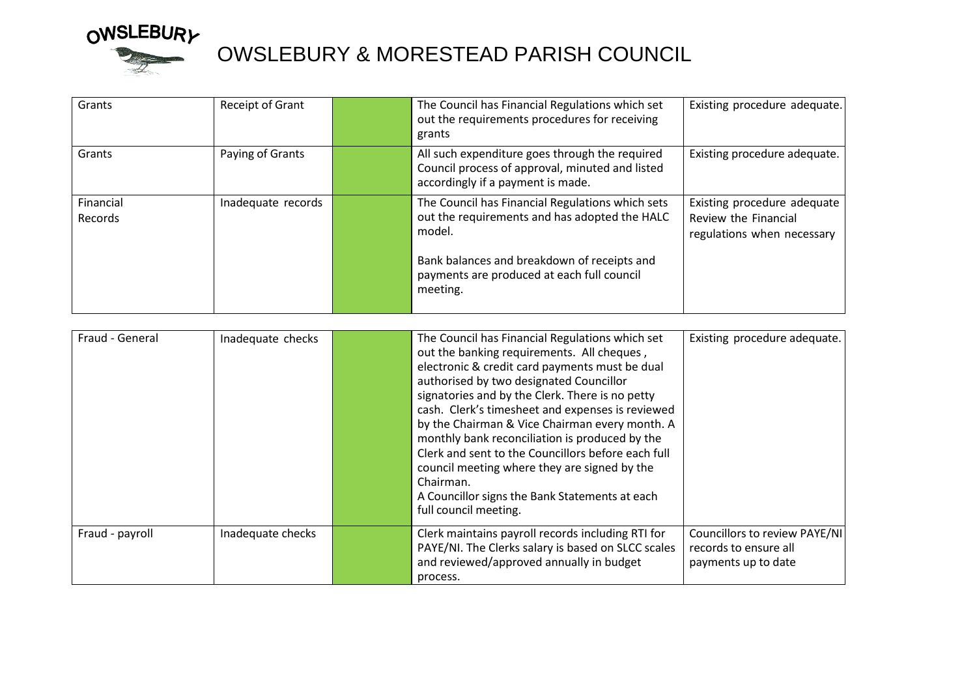

# OWSLEBURY<br>
OWSLEBURY & MORESTEAD PARISH COUNCIL

| Grants               | Receipt of Grant   | The Council has Financial Regulations which set<br>out the requirements procedures for receiving<br>grants                                                                                                           | Existing procedure adequate.                                                      |
|----------------------|--------------------|----------------------------------------------------------------------------------------------------------------------------------------------------------------------------------------------------------------------|-----------------------------------------------------------------------------------|
| Grants               | Paying of Grants   | All such expenditure goes through the required<br>Council process of approval, minuted and listed<br>accordingly if a payment is made.                                                                               | Existing procedure adequate.                                                      |
| Financial<br>Records | Inadequate records | The Council has Financial Regulations which sets<br>out the requirements and has adopted the HALC<br>model.<br>Bank balances and breakdown of receipts and<br>payments are produced at each full council<br>meeting. | Existing procedure adequate<br>Review the Financial<br>regulations when necessary |

| Fraud - General | Inadequate checks | The Council has Financial Regulations which set<br>out the banking requirements. All cheques,<br>electronic & credit card payments must be dual<br>authorised by two designated Councillor<br>signatories and by the Clerk. There is no petty<br>cash. Clerk's timesheet and expenses is reviewed<br>by the Chairman & Vice Chairman every month. A<br>monthly bank reconciliation is produced by the<br>Clerk and sent to the Councillors before each full<br>council meeting where they are signed by the<br>Chairman.<br>A Councillor signs the Bank Statements at each<br>full council meeting. | Existing procedure adequate.                                                  |
|-----------------|-------------------|-----------------------------------------------------------------------------------------------------------------------------------------------------------------------------------------------------------------------------------------------------------------------------------------------------------------------------------------------------------------------------------------------------------------------------------------------------------------------------------------------------------------------------------------------------------------------------------------------------|-------------------------------------------------------------------------------|
| Fraud - payroll | Inadequate checks | Clerk maintains payroll records including RTI for<br>PAYE/NI. The Clerks salary is based on SLCC scales<br>and reviewed/approved annually in budget<br>process.                                                                                                                                                                                                                                                                                                                                                                                                                                     | Councillors to review PAYE/NI<br>records to ensure all<br>payments up to date |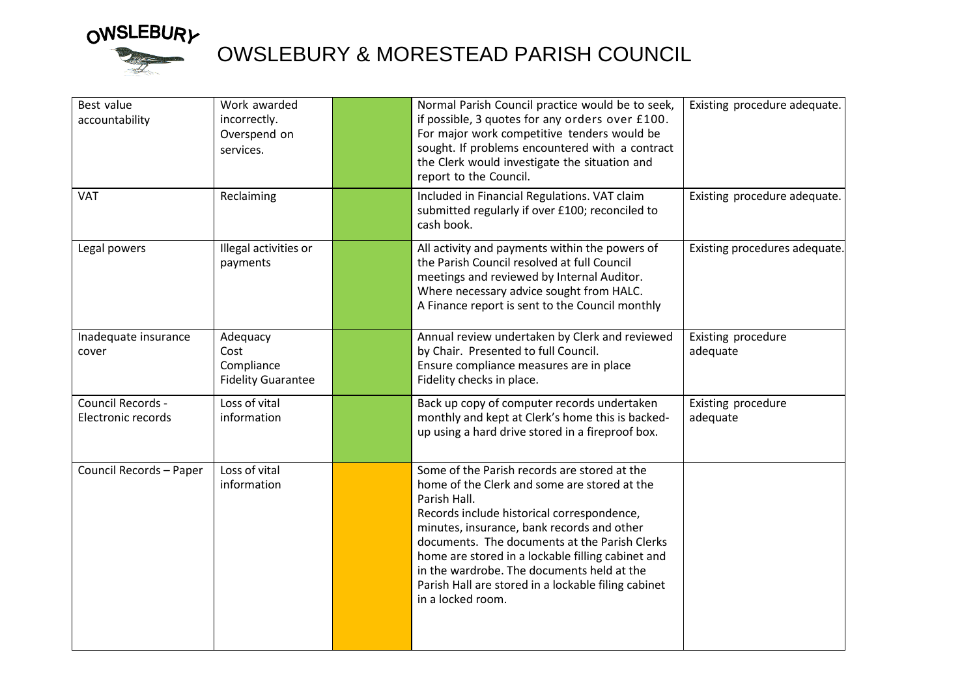

# OWSLEBURY<br>
OWSLEBURY & MORESTEAD PARISH COUNCIL

| Best value<br>accountability<br><b>VAT</b> | Work awarded<br>incorrectly.<br>Overspend on<br>services.<br>Reclaiming | Normal Parish Council practice would be to seek,<br>if possible, 3 quotes for any orders over £100.<br>For major work competitive tenders would be<br>sought. If problems encountered with a contract<br>the Clerk would investigate the situation and<br>report to the Council.<br>Included in Financial Regulations. VAT claim                                                                                                         | Existing procedure adequate.<br>Existing procedure adequate. |
|--------------------------------------------|-------------------------------------------------------------------------|------------------------------------------------------------------------------------------------------------------------------------------------------------------------------------------------------------------------------------------------------------------------------------------------------------------------------------------------------------------------------------------------------------------------------------------|--------------------------------------------------------------|
|                                            |                                                                         | submitted regularly if over £100; reconciled to<br>cash book.                                                                                                                                                                                                                                                                                                                                                                            |                                                              |
| Legal powers                               | Illegal activities or<br>payments                                       | All activity and payments within the powers of<br>the Parish Council resolved at full Council<br>meetings and reviewed by Internal Auditor.<br>Where necessary advice sought from HALC.<br>A Finance report is sent to the Council monthly                                                                                                                                                                                               | Existing procedures adequate.                                |
| Inadequate insurance<br>cover              | Adequacy<br>Cost<br>Compliance<br><b>Fidelity Guarantee</b>             | Annual review undertaken by Clerk and reviewed<br>by Chair. Presented to full Council.<br>Ensure compliance measures are in place<br>Fidelity checks in place.                                                                                                                                                                                                                                                                           | Existing procedure<br>adequate                               |
| Council Records -<br>Electronic records    | Loss of vital<br>information                                            | Back up copy of computer records undertaken<br>monthly and kept at Clerk's home this is backed-<br>up using a hard drive stored in a fireproof box.                                                                                                                                                                                                                                                                                      | Existing procedure<br>adequate                               |
| Council Records - Paper                    | Loss of vital<br>information                                            | Some of the Parish records are stored at the<br>home of the Clerk and some are stored at the<br>Parish Hall.<br>Records include historical correspondence,<br>minutes, insurance, bank records and other<br>documents. The documents at the Parish Clerks<br>home are stored in a lockable filling cabinet and<br>in the wardrobe. The documents held at the<br>Parish Hall are stored in a lockable filing cabinet<br>in a locked room. |                                                              |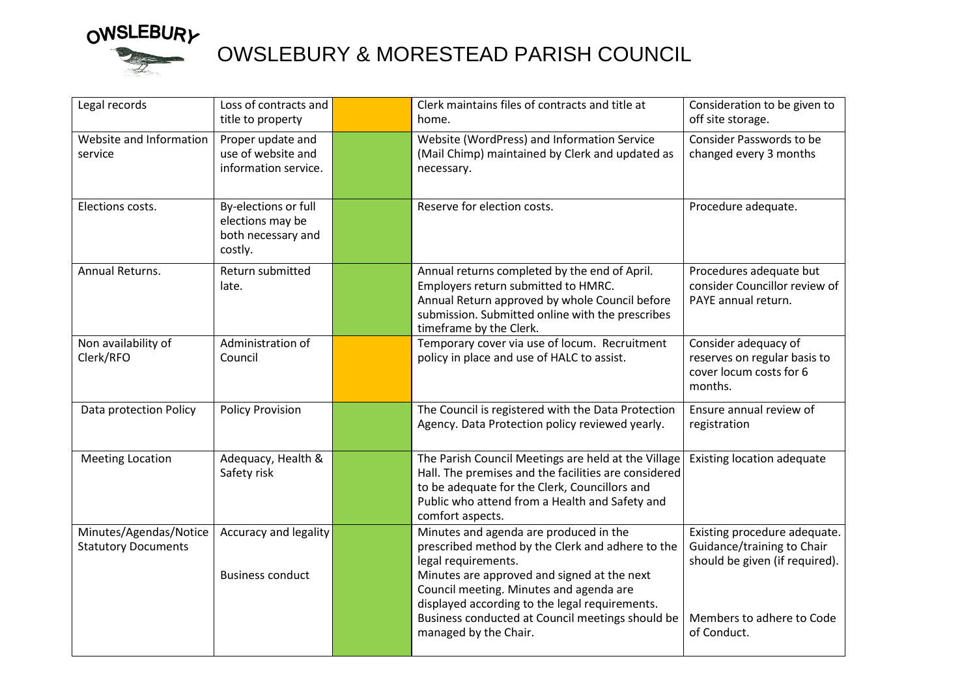

# OWSLEBURY<br>OWSLEBURY & MORESTEAD PARISH COUNCIL

| Legal records                                        | Loss of contracts and<br>title to property                                | Clerk maintains files of contracts and title at<br>home.                                                                                                                                                                                                                                                                                   | Consideration to be given to<br>off site storage.                                                                                        |
|------------------------------------------------------|---------------------------------------------------------------------------|--------------------------------------------------------------------------------------------------------------------------------------------------------------------------------------------------------------------------------------------------------------------------------------------------------------------------------------------|------------------------------------------------------------------------------------------------------------------------------------------|
| Website and Information<br>service                   | Proper update and<br>use of website and<br>information service.           | Website (WordPress) and Information Service<br>(Mail Chimp) maintained by Clerk and updated as<br>necessary.                                                                                                                                                                                                                               | Consider Passwords to be<br>changed every 3 months                                                                                       |
| Elections costs.                                     | By-elections or full<br>elections may be<br>both necessary and<br>costly. | Reserve for election costs.                                                                                                                                                                                                                                                                                                                | Procedure adequate.                                                                                                                      |
| Annual Returns.                                      | Return submitted<br>late.                                                 | Annual returns completed by the end of April.<br>Employers return submitted to HMRC.<br>Annual Return approved by whole Council before<br>submission. Submitted online with the prescribes<br>timeframe by the Clerk.                                                                                                                      | Procedures adequate but<br>consider Councillor review of<br>PAYE annual return.                                                          |
| Non availability of<br>Clerk/RFO                     | Administration of<br>Council                                              | Temporary cover via use of locum. Recruitment<br>policy in place and use of HALC to assist.                                                                                                                                                                                                                                                | Consider adequacy of<br>reserves on regular basis to<br>cover locum costs for 6<br>months.                                               |
| Data protection Policy                               | <b>Policy Provision</b>                                                   | The Council is registered with the Data Protection<br>Agency. Data Protection policy reviewed yearly.                                                                                                                                                                                                                                      | Ensure annual review of<br>registration                                                                                                  |
| <b>Meeting Location</b>                              | Adequacy, Health &<br>Safety risk                                         | The Parish Council Meetings are held at the Village<br>Hall. The premises and the facilities are considered<br>to be adequate for the Clerk, Councillors and<br>Public who attend from a Health and Safety and<br>comfort aspects.                                                                                                         | Existing location adequate                                                                                                               |
| Minutes/Agendas/Notice<br><b>Statutory Documents</b> | Accuracy and legality<br><b>Business conduct</b>                          | Minutes and agenda are produced in the<br>prescribed method by the Clerk and adhere to the<br>legal requirements.<br>Minutes are approved and signed at the next<br>Council meeting. Minutes and agenda are<br>displayed according to the legal requirements.<br>Business conducted at Council meetings should be<br>managed by the Chair. | Existing procedure adequate.<br>Guidance/training to Chair<br>should be given (if required).<br>Members to adhere to Code<br>of Conduct. |